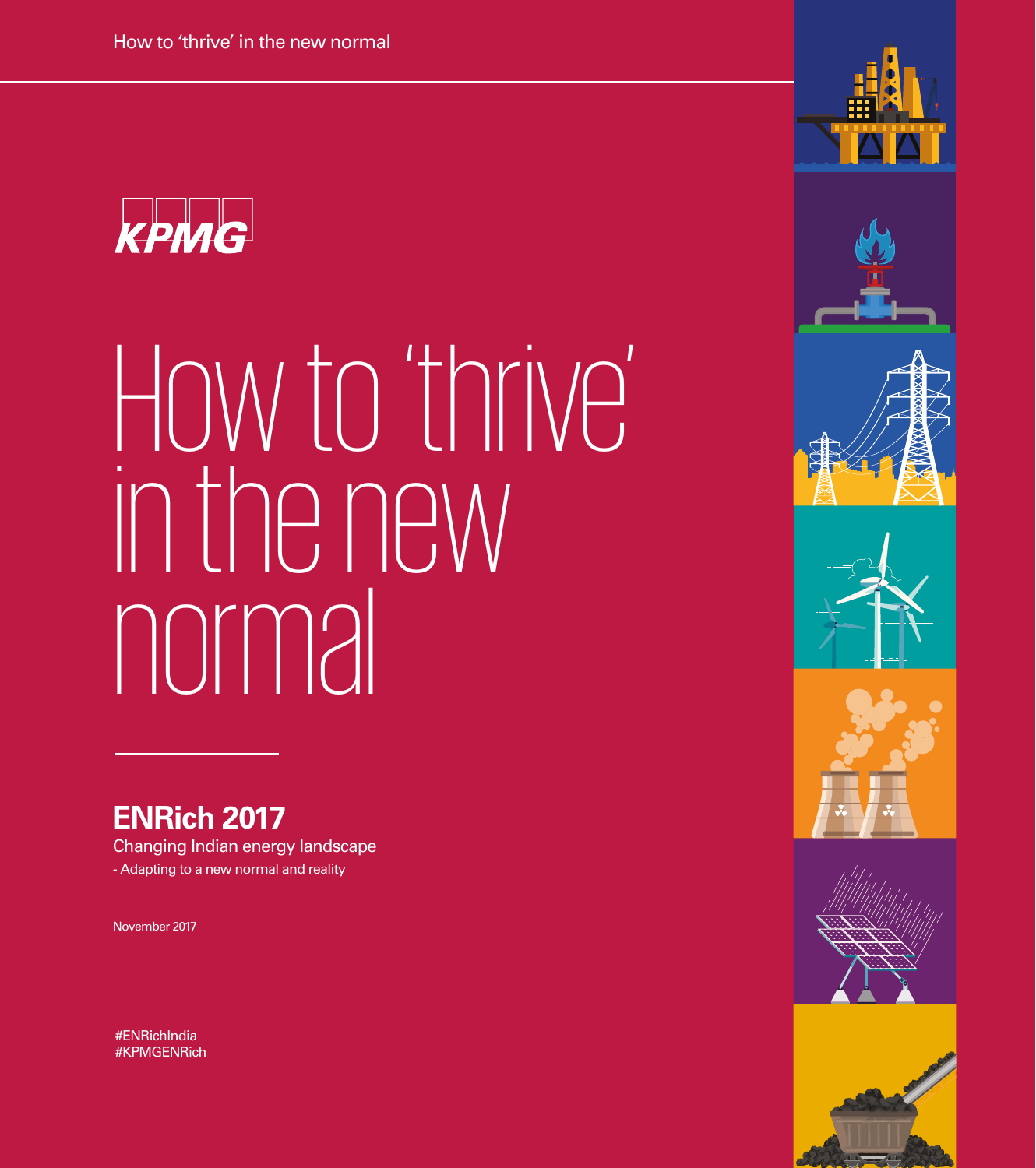

# How to 'thrive' in the new normal

### **ENRich 2017**

Changing Indian energy landscape - Adapting to a new normal and reality

November 2017

#ENRichIndia #KPMGENRich













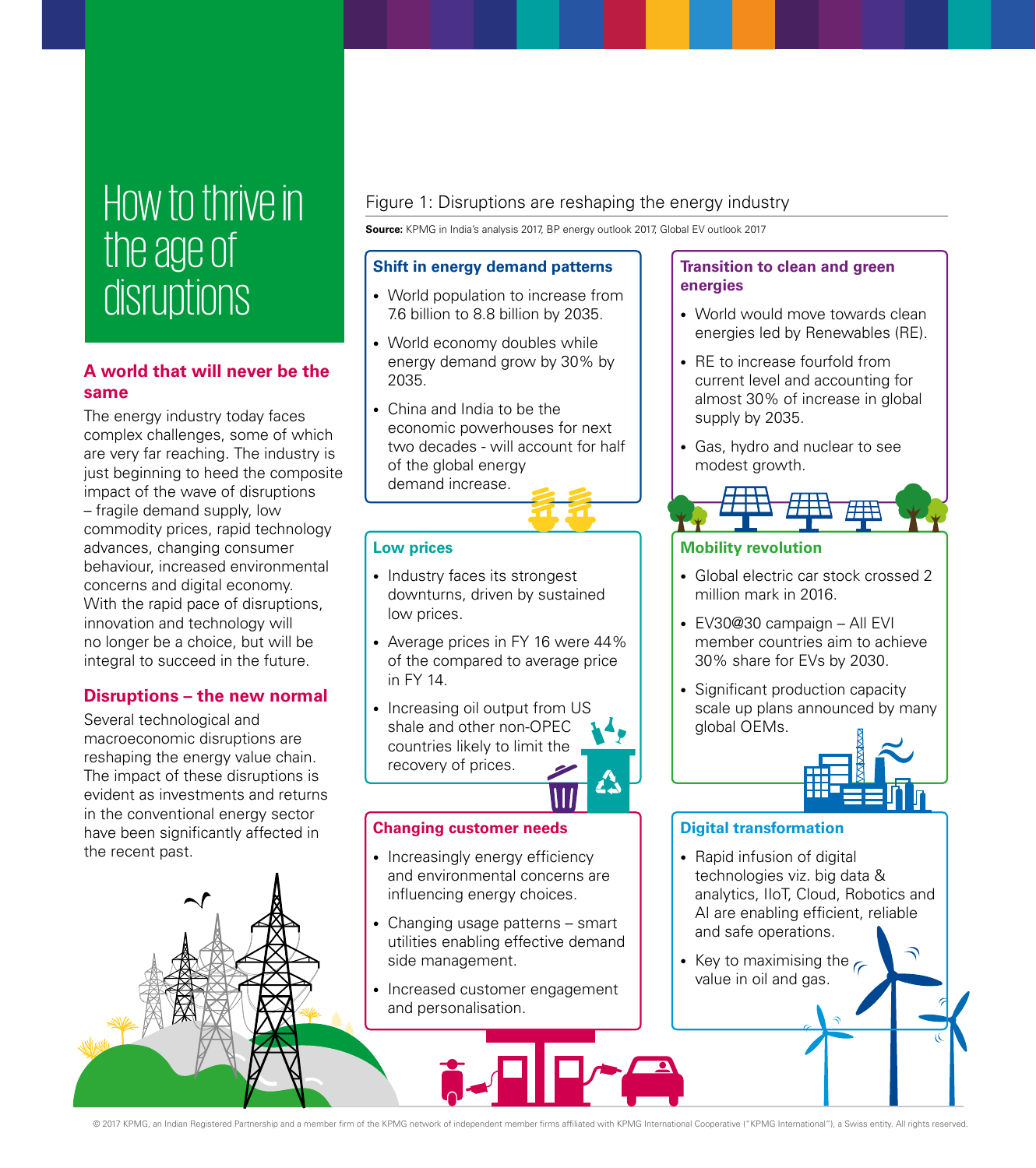# How to thrive in the age of disruptions

#### **A world that will never be the same**

The energy industry today faces complex challenges, some of which are very far reaching. The industry is just beginning to heed the composite impact of the wave of disruptions – fragile demand supply, low commodity prices, rapid technology advances, changing consumer behaviour, increased environmental concerns and digital economy. With the rapid pace of disruptions, innovation and technology will no longer be a choice, but will be integral to succeed in the future.

#### **Disruptions – the new normal**

Several technological and macroeconomic disruptions are reshaping the energy value chain. The impact of these disruptions is evident as investments and returns in the conventional energy sector have been significantly affected in the recent past.



#### Figure 1: Disruptions are reshaping the energy industry

**Source:** KPMG in India's analysis 2017, BP energy outlook 2017, Global EV outlook 2017

#### **Shift in energy demand patterns**

- World population to increase from 7.6 billion to 8.8 billion by 2035.
- World economy doubles while energy demand grow by 30% by 2035.
- China and India to be the economic powerhouses for next two decades - will account for half of the global energy demand increase.

#### **Low prices**

- Industry faces its strongest downturns, driven by sustained low prices.
- Average prices in FY 16 were 44% of the compared to average price in FY 14.
- Increasing oil output from US shale and other non-OPEC countries likely to limit the recovery of prices.

#### **Changing customer needs**

- Increasingly energy efficiency and environmental concerns are influencing energy choices.
- Changing usage patterns smart utilities enabling effective demand side management.
- Increased customer engagement and personalisation.

#### **Transition to clean and green energies**

- World would move towards clean energies led by Renewables (RE).
- RE to increase fourfold from current level and accounting for almost 30% of increase in global supply by 2035.
- Gas, hydro and nuclear to see modest growth.



#### **Mobility revolution**

- Global electric car stock crossed 2 million mark in 2016.
- EV30@30 campaign All EVI member countries aim to achieve 30% share for EVs by 2030.
- Significant production capacity scale up plans announced by many global OEMs.



#### **Digital transformation**

- Rapid infusion of digital technologies viz. big data & analytics, IIoT, Cloud, Robotics and AI are enabling efficient, reliable and safe operations.
- Key to maximising the  $\epsilon$ value in oil and gas.

© 2017 KPMG, an Indian Registered Partnership and a member firm of the KPMG network of independent member firms affiliated with KPMG International Cooperative ("KPMG International"), a Swiss entity. All rights reserved.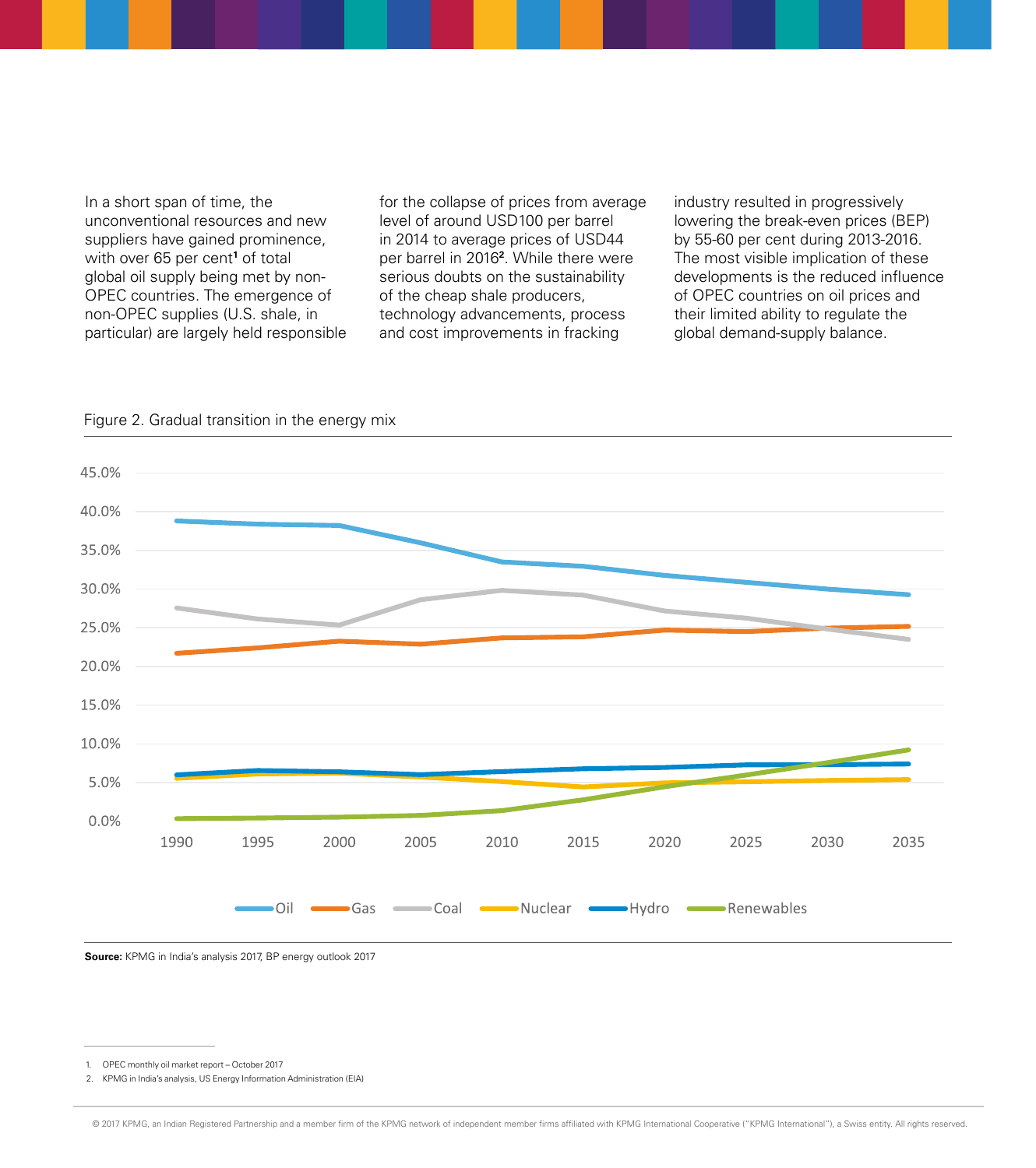In a short span of time, the unconventional resources and new suppliers have gained prominence, with over 65 per cent<sup>1</sup> of total global oil supply being met by non-OPEC countries. The emergence of non-OPEC supplies (U.S. shale, in particular) are largely held responsible for the collapse of prices from average level of around USD100 per barrel in 2014 to average prices of USD44 per barrel in 2016**<sup>2</sup>** . While there were serious doubts on the sustainability of the cheap shale producers, technology advancements, process and cost improvements in fracking

industry resulted in progressively lowering the break-even prices (BEP) by 55-60 per cent during 2013-2016. The most visible implication of these developments is the reduced influence of OPEC countries on oil prices and their limited ability to regulate the global demand-supply balance.





**Source:** KPMG in India's analysis 2017, BP energy outlook 2017

<sup>1.</sup> OPEC monthly oil market report – October 2017

<sup>2.</sup> KPMG in India's analysis, US Energy Information Administration (EIA)

<sup>© 2017</sup> KPMG, an Indian Registered Partnership and a member firm of the KPMG network of independent member firms affiliated with KPMG International Cooperative ("KPMG International"), a Swiss entity. All rights reserved.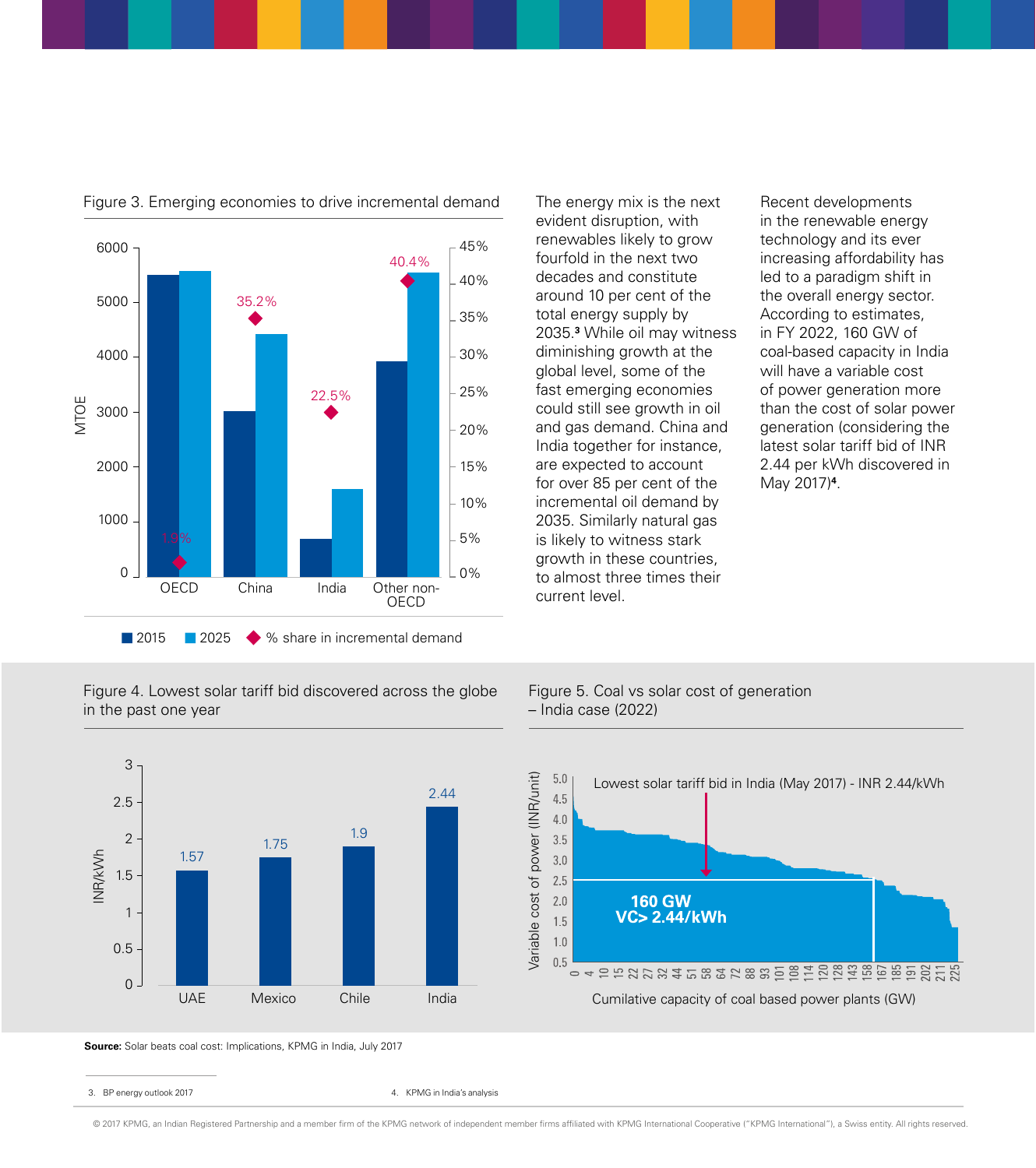

Figure 3. Emerging economies to drive incremental demand

Figure 4. Lowest solar tariff bid discovered across the globe in the past one year

The energy mix is the next evident disruption, with renewables likely to grow fourfold in the next two decades and constitute around 10 per cent of the total energy supply by 2035.**<sup>3</sup>** While oil may witness diminishing growth at the global level, some of the fast emerging economies could still see growth in oil and gas demand. China and India together for instance, are expected to account for over 85 per cent of the incremental oil demand by 2035. Similarly natural gas is likely to witness stark growth in these countries, to almost three times their current level.

Recent developments in the renewable energy technology and its ever increasing affordability has led to a paradigm shift in the overall energy sector. According to estimates, in FY 2022, 160 GW of coal-based capacity in India will have a variable cost of power generation more than the cost of solar power generation (considering the latest solar tariff bid of INR 2.44 per kWh discovered in May 2017)**<sup>4</sup>** .

#### Figure 5. Coal vs solar cost of generation – India case (2022)



**Source:** Solar beats coal cost: Implications, KPMG in India, July 2017

3. BP energy outlook 2017 Case of the Case of the Case of the Case of the Case of the Case of the Case of the Case of the Case of the Case of the Case of the Case of the Case of the Case of the Case of the Case of the Case



Lowest solar tariff bid in India (May 2017) - INR 2.44/kWh

© 2017 KPMG, an Indian Registered Partnership and a member firm of the KPMG network of independent member firms affiliated with KPMG International Cooperative ("KPMG International"), a Swiss entity. All rights reserved.

 $5.0$ 4.5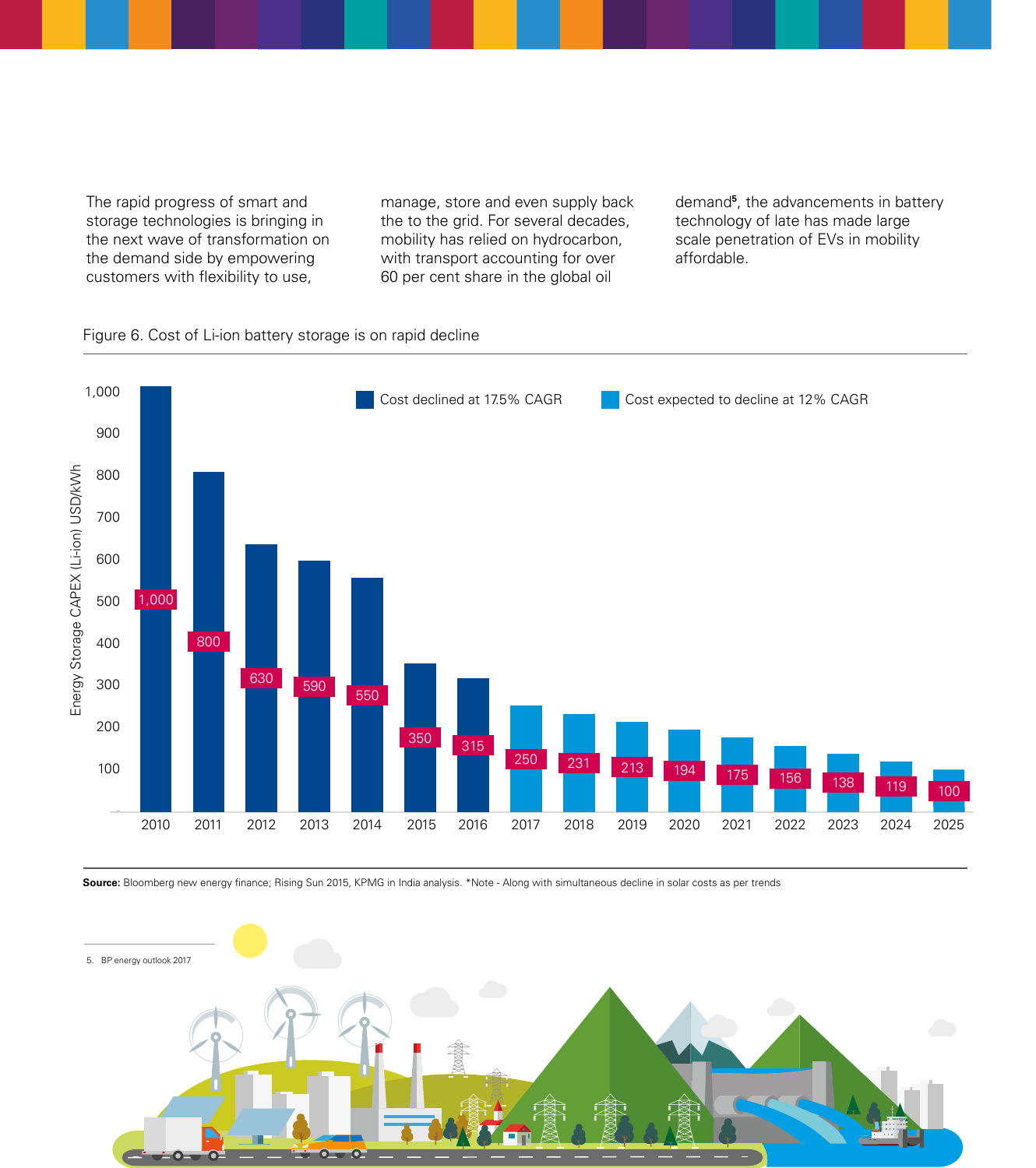The rapid progress of smart and storage technologies is bringing in the next wave of transformation on the demand side by empowering customers with flexibility to use,

manage, store and even supply back the to the grid. For several decades, mobility has relied on hydrocarbon, with transport accounting for over 60 per cent share in the global oil

demand**<sup>5</sup>** , the advancements in battery technology of late has made large scale penetration of EVs in mobility affordable.

#### Figure 6. Cost of Li-ion battery storage is on rapid decline



Source: Bloomberg new energy finance; Rising Sun 2015, KPMG in India analysis. \*Note - Along with simultaneous decline in solar costs as per trends

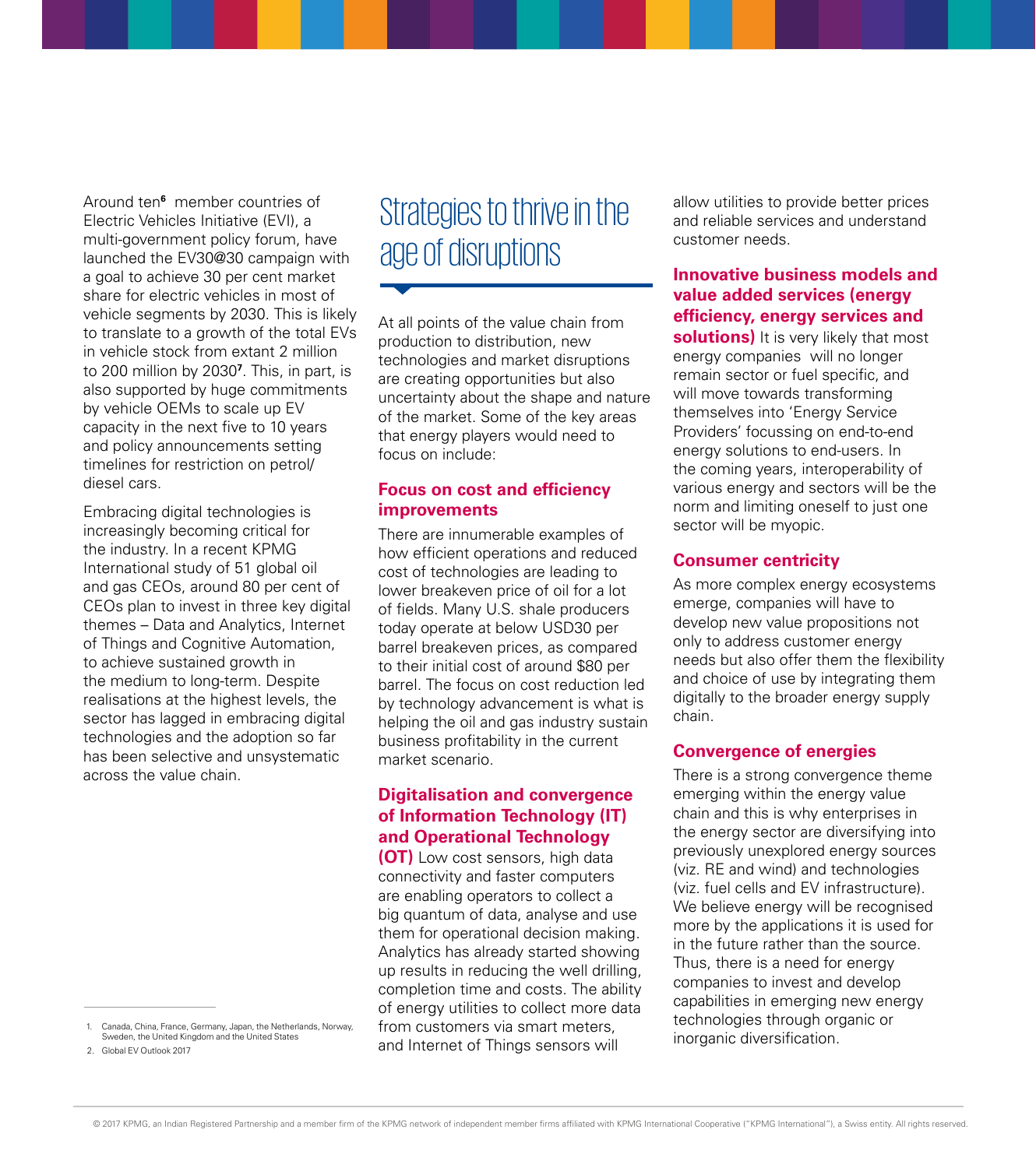Around ten**<sup>6</sup>** member countries of Electric Vehicles Initiative (EVI), a multi-government policy forum, have launched the EV30@30 campaign with a goal to achieve 30 per cent market share for electric vehicles in most of vehicle segments by 2030. This is likely to translate to a growth of the total EVs in vehicle stock from extant 2 million to 200 million by 2030**<sup>7</sup>** . This, in part, is also supported by huge commitments by vehicle OEMs to scale up EV capacity in the next five to 10 years and policy announcements setting timelines for restriction on petrol/ diesel cars.

Embracing digital technologies is increasingly becoming critical for the industry. In a recent KPMG International study of 51 global oil and gas CEOs, around 80 per cent of CEOs plan to invest in three key digital themes – Data and Analytics, Internet of Things and Cognitive Automation, to achieve sustained growth in the medium to long-term. Despite realisations at the highest levels, the sector has lagged in embracing digital technologies and the adoption so far has been selective and unsystematic across the value chain.

## Strategies to thrive in the age of disruptions

At all points of the value chain from production to distribution, new technologies and market disruptions are creating opportunities but also uncertainty about the shape and nature of the market. Some of the key areas that energy players would need to focus on include:

#### **Focus on cost and efficiency improvements**

There are innumerable examples of how efficient operations and reduced cost of technologies are leading to lower breakeven price of oil for a lot of fields. Many U.S. shale producers today operate at below USD30 per barrel breakeven prices, as compared to their initial cost of around \$80 per barrel. The focus on cost reduction led by technology advancement is what is helping the oil and gas industry sustain business profitability in the current market scenario.

#### **Digitalisation and convergence of Information Technology (IT) and Operational Technology**

**(OT)** Low cost sensors, high data connectivity and faster computers are enabling operators to collect a big quantum of data, analyse and use them for operational decision making. Analytics has already started showing up results in reducing the well drilling, completion time and costs. The ability of energy utilities to collect more data from customers via smart meters, and Internet of Things sensors will

allow utilities to provide better prices and reliable services and understand customer needs.

#### **Innovative business models and value added services (energy efficiency, energy services and**

**solutions)** It is very likely that most energy companies will no longer remain sector or fuel specific, and will move towards transforming themselves into 'Energy Service Providers' focussing on end-to-end energy solutions to end-users. In the coming years, interoperability of various energy and sectors will be the norm and limiting oneself to just one sector will be myopic.

#### **Consumer centricity**

As more complex energy ecosystems emerge, companies will have to develop new value propositions not only to address customer energy needs but also offer them the flexibility and choice of use by integrating them digitally to the broader energy supply chain.

#### **Convergence of energies**

There is a strong convergence theme emerging within the energy value chain and this is why enterprises in the energy sector are diversifying into previously unexplored energy sources (viz. RE and wind) and technologies (viz. fuel cells and EV infrastructure). We believe energy will be recognised more by the applications it is used for in the future rather than the source. Thus, there is a need for energy companies to invest and develop capabilities in emerging new energy technologies through organic or inorganic diversification.

Canada, China, France, Germany, Japan, the Netherlands, Norway, Sweden, the United Kingdom and the United States

<sup>2.</sup> Global EV Outlook 2017

<sup>© 2017</sup> KPMG, an Indian Registered Partnership and a member firm of the KPMG network of independent member firms affiliated with KPMG International Cooperative ("KPMG International"), a Swiss entity. All rights reserved.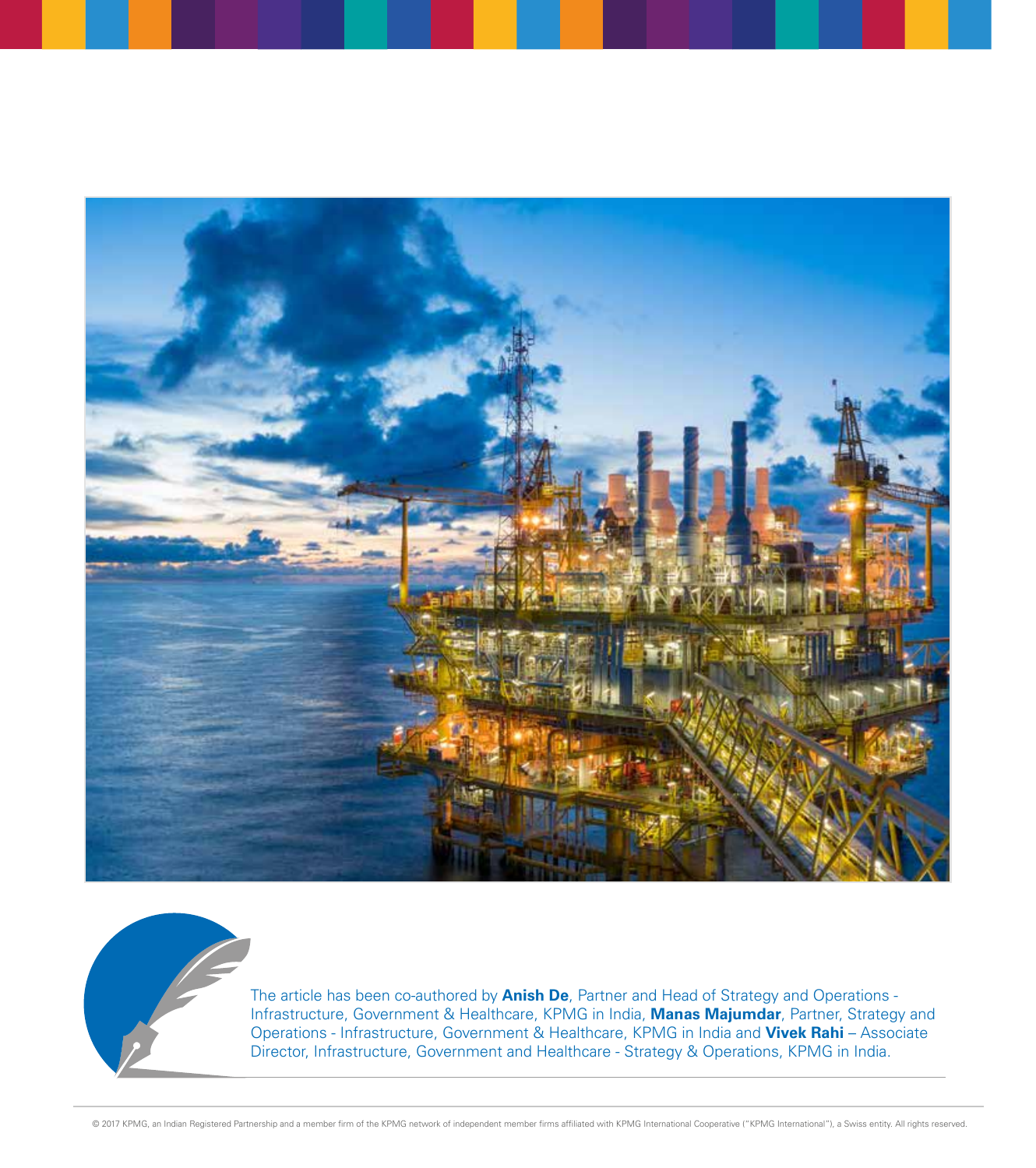



The article has been co-authored by **Anish De**, Partner and Head of Strategy and Operations - Infrastructure, Government & Healthcare, KPMG in India, **Manas Majumdar**, Partner, Strategy and Operations - Infrastructure, Government & Healthcare, KPMG in India and **Vivek Rahi** – Associate Director, Infrastructure, Government and Healthcare - Strategy & Operations, KPMG in India.